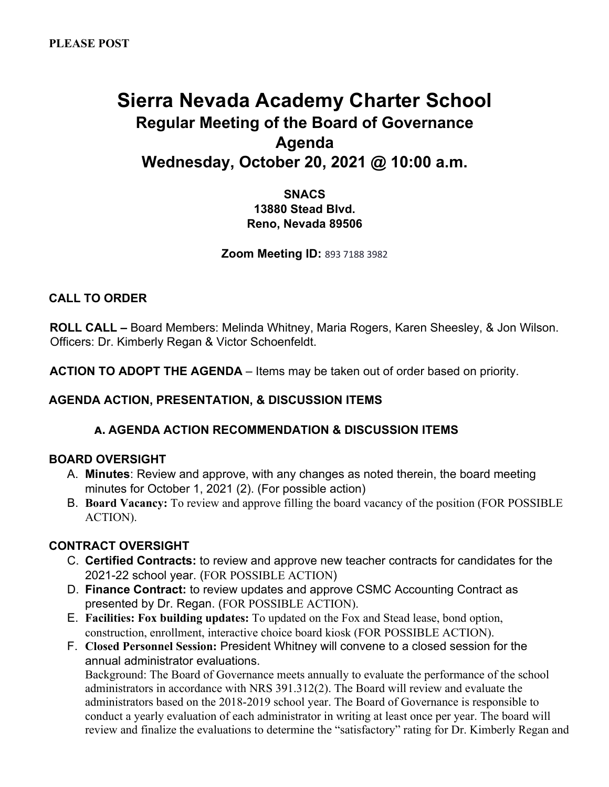# **Sierra Nevada Academy Charter School Regular Meeting of the Board of Governance Agenda Wednesday, October 20, 2021 @ 10:00 a.m.**

**SNACS 13880 Stead Blvd. Reno, Nevada 89506** 

**Zoom Meeting ID:** 893 7188 3982

# **CALL TO ORDER**

**ROLL CALL –** Board Members: Melinda Whitney, Maria Rogers, Karen Sheesley, & Jon Wilson. Officers: Dr. Kimberly Regan & Victor Schoenfeldt.

**ACTION TO ADOPT THE AGENDA** – Items may be taken out of order based on priority.

# **AGENDA ACTION, PRESENTATION, & DISCUSSION ITEMS**

## **A. AGENDA ACTION RECOMMENDATION & DISCUSSION ITEMS**

## **BOARD OVERSIGHT**

- A. **Minutes**: Review and approve, with any changes as noted therein, the board meeting minutes for October 1, 2021 (2). (For possible action)
- B. **Board Vacancy:** To review and approve filling the board vacancy of the position (FOR POSSIBLE ACTION).

## **CONTRACT OVERSIGHT**

- C. **Certified Contracts:** to review and approve new teacher contracts for candidates for the 2021-22 school year. (FOR POSSIBLE ACTION)
- D. **Finance Contract:** to review updates and approve CSMC Accounting Contract as presented by Dr. Regan. (FOR POSSIBLE ACTION).
- E. **Facilities: Fox building updates:** To updated on the Fox and Stead lease, bond option, construction, enrollment, interactive choice board kiosk (FOR POSSIBLE ACTION).
- F. **Closed Personnel Session:** President Whitney will convene to a closed session for the annual administrator evaluations.

Background: The Board of Governance meets annually to evaluate the performance of the school administrators in accordance with NRS 391.312(2). The Board will review and evaluate the administrators based on the 2018-2019 school year. The Board of Governance is responsible to conduct a yearly evaluation of each administrator in writing at least once per year. The board will review and finalize the evaluations to determine the "satisfactory" rating for Dr. Kimberly Regan and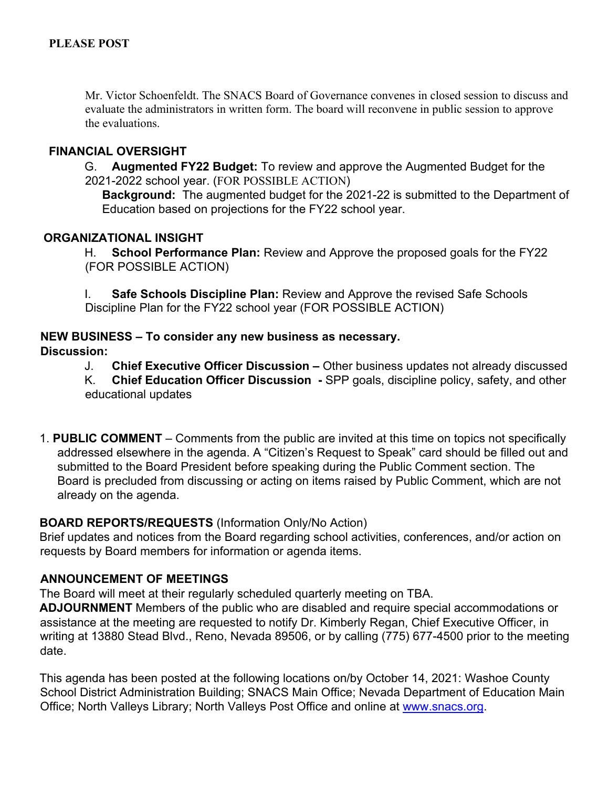Mr. Victor Schoenfeldt. The SNACS Board of Governance convenes in closed session to discuss and evaluate the administrators in written form. The board will reconvene in public session to approve the evaluations.

## **FINANCIAL OVERSIGHT**

G. **Augmented FY22 Budget:** To review and approve the Augmented Budget for the 2021-2022 school year. (FOR POSSIBLE ACTION)

**Background:** The augmented budget for the 2021-22 is submitted to the Department of Education based on projections for the FY22 school year.

#### **ORGANIZATIONAL INSIGHT**

H. **School Performance Plan:** Review and Approve the proposed goals for the FY22 (FOR POSSIBLE ACTION)

I. **Safe Schools Discipline Plan:** Review and Approve the revised Safe Schools Discipline Plan for the FY22 school year (FOR POSSIBLE ACTION)

#### **NEW BUSINESS – To consider any new business as necessary.**

#### **Discussion:**

J. **Chief Executive Officer Discussion –** Other business updates not already discussed

K. **Chief Education Officer Discussion -** SPP goals, discipline policy, safety, and other educational updates

1. **PUBLIC COMMENT** – Comments from the public are invited at this time on topics not specifically addressed elsewhere in the agenda. A "Citizen's Request to Speak" card should be filled out and submitted to the Board President before speaking during the Public Comment section. The Board is precluded from discussing or acting on items raised by Public Comment, which are not already on the agenda.

## **BOARD REPORTS/REQUESTS** (Information Only/No Action)

Brief updates and notices from the Board regarding school activities, conferences, and/or action on requests by Board members for information or agenda items.

## **ANNOUNCEMENT OF MEETINGS**

The Board will meet at their regularly scheduled quarterly meeting on TBA.

**ADJOURNMENT** Members of the public who are disabled and require special accommodations or assistance at the meeting are requested to notify Dr. Kimberly Regan, Chief Executive Officer, in writing at 13880 Stead Blvd., Reno, Nevada 89506, or by calling (775) 677-4500 prior to the meeting date.

This agenda has been posted at the following locations on/by October 14, 2021: Washoe County School District Administration Building; SNACS Main Office; Nevada Department of Education Main Office; North Valleys Library; North Valleys Post Office and online at www.snacs.org.